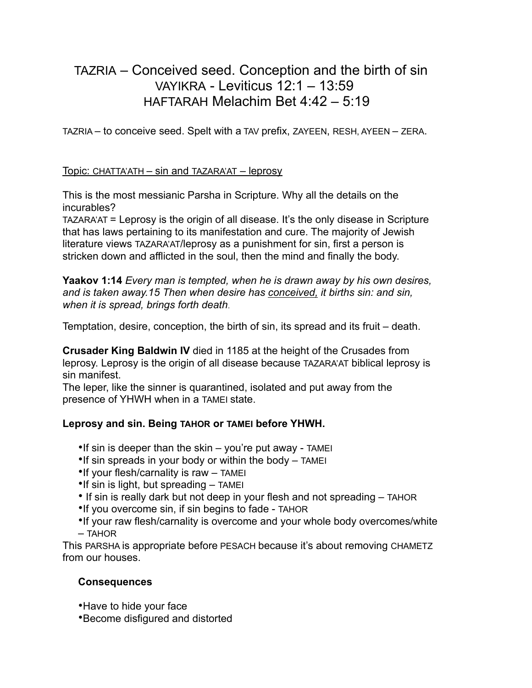# TAZRIA – Conceived seed. Conception and the birth of sin VAYIKRA - Leviticus 12:1 – 13:59 HAFTARAH Melachim Bet 4:42 – 5:19

TAZRIA – to conceive seed. Spelt with a TAV prefix, ZAYEEN, RESH, AYEEN – ZERA.

### Topic: CHATTA'ATH – sin and TAZARA'AT – leprosy

This is the most messianic Parsha in Scripture. Why all the details on the incurables?

TAZARA'AT = Leprosy is the origin of all disease. It's the only disease in Scripture that has laws pertaining to its manifestation and cure. The majority of Jewish literature views TAZARA'AT/leprosy as a punishment for sin, first a person is stricken down and afflicted in the soul, then the mind and finally the body.

**Yaakov 1:14** *Every man is tempted, when he is drawn away by his own desires, and is taken away.15 Then when desire has conceived, it births sin: and sin, when it is spread, brings forth death*.

Temptation, desire, conception, the birth of sin, its spread and its fruit – death.

**Crusader King Baldwin IV** died in 1185 at the height of the Crusades from leprosy. Leprosy is the origin of all disease because TAZARA'AT biblical leprosy is sin manifest.

The leper, like the sinner is quarantined, isolated and put away from the presence of YHWH when in a TAMEI state.

# **Leprosy and sin. Being TAHOR or TAMEI before YHWH.**

- •If sin is deeper than the skin you're put away TAMEI
- •If sin spreads in your body or within the body TAMEI
- •If your flesh/carnality is raw TAMEI
- •If sin is light, but spreading TAMEI
- If sin is really dark but not deep in your flesh and not spreading TAHOR
- •If you overcome sin, if sin begins to fade TAHOR
- •If your raw flesh/carnality is overcome and your whole body overcomes/white – TAHOR

This PARSHA is appropriate before PESACH because it's about removing CHAMETZ from our houses.

# **Consequences**

- •Have to hide your face
- •Become disfigured and distorted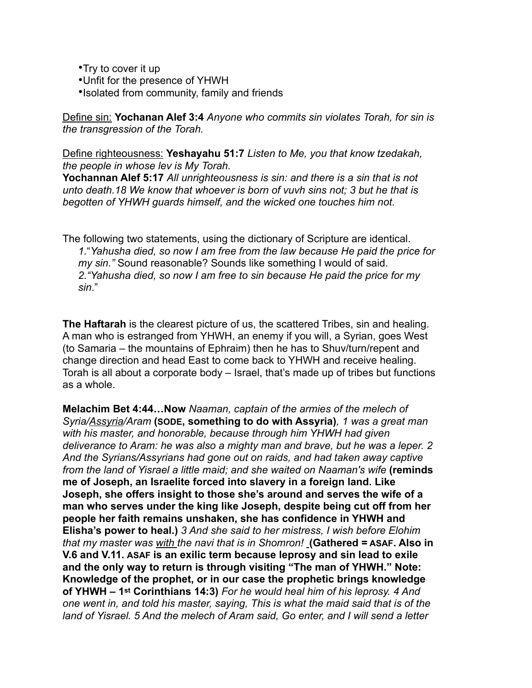•Try to cover it up

- •Unfit for the presence of YHWH
- •Isolated from community, family and friends

Define sin: **Yochanan Alef 3:4** *Anyone who commits sin violates Torah, for sin is the transgression of the Torah.*

Define righteousness: **Yeshayahu 51:7** *Listen to Me, you that know tzedakah, the people in whose lev is My Torah.*

**Yochannan Alef 5:17** *All unrighteousness is sin: and there is a sin that is not unto death.18 We know that whoever is born of vuvh sins not; 3 but he that is begotten of YHWH guards himself, and the wicked one touches him not.*

The following two statements, using the dictionary of Scripture are identical. *1.*"*Yahusha died, so now I am free from the law because He paid the price for my sin."* Sound reasonable? Sounds like something I would of said. *2."Yahusha died, so now I am free to sin because He paid the price for my sin*."

**The Haftarah** is the clearest picture of us, the scattered Tribes, sin and healing. A man who is estranged from YHWH, an enemy if you will, a Syrian, goes West (to Samaria – the mountains of Ephraim) then he has to Shuv/turn/repent and change direction and head East to come back to YHWH and receive healing. Torah is all about a corporate body – Israel, that's made up of tribes but functions as a whole.

**Melachim Bet 4:44…Now** *Naaman, captain of the armies of the melech of Syria/Assyria/Aram* **(SODE, something to do with Assyria)***, 1 was a great man with his master, and honorable, because through him YHWH had given deliverance to Aram: he was also a mighty man and brave, but he was a leper. 2 And the Syrians/Assyrians had gone out on raids, and had taken away captive from the land of Yisrael a little maid; and she waited on Naaman's wife* **(reminds me of Joseph, an Israelite forced into slavery in a foreign land. Like Joseph, she offers insight to those she's around and serves the wife of a man who serves under the king like Joseph, despite being cut off from her people her faith remains unshaken, she has confidence in YHWH and Elisha's power to heal.)** *3 And she said to her mistress, I wish before Elohim that my master was with the navi that is in Shomron!* **(Gathered = ASAF. Also in V.6 and V.11. ASAF is an exilic term because leprosy and sin lead to exile and the only way to return is through visiting "The man of YHWH." Note: Knowledge of the prophet, or in our case the prophetic brings knowledge of YHWH – 1st Corinthians 14:3)** *For he would heal him of his leprosy. 4 And one went in, and told his master, saying, This is what the maid said that is of the land of Yisrael. 5 And the melech of Aram said, Go enter, and I will send a letter*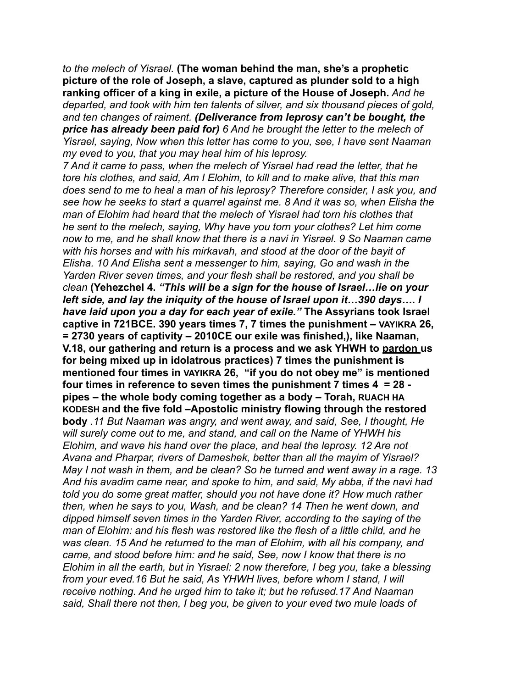*to the melech of Yisrael.* **(The woman behind the man, she's a prophetic picture of the role of Joseph, a slave, captured as plunder sold to a high ranking officer of a king in exile, a picture of the House of Joseph.** *And he departed, and took with him ten talents of silver, and six thousand pieces of gold, and ten changes of raiment. (Deliverance from leprosy can't be bought, the price has already been paid for) 6 And he brought the letter to the melech of Yisrael, saying, Now when this letter has come to you, see, I have sent Naaman my eved to you, that you may heal him of his leprosy.*

*7 And it came to pass, when the melech of Yisrael had read the letter, that he tore his clothes, and said, Am I Elohim, to kill and to make alive, that this man does send to me to heal a man of his leprosy? Therefore consider, I ask you, and see how he seeks to start a quarrel against me. 8 And it was so, when Elisha the man of Elohim had heard that the melech of Yisrael had torn his clothes that he sent to the melech, saying, Why have you torn your clothes? Let him come now to me, and he shall know that there is a navi in Yisrael. 9 So Naaman came with his horses and with his mirkavah, and stood at the door of the bayit of Elisha. 10 And Elisha sent a messenger to him, saying, Go and wash in the Yarden River seven times, and your flesh shall be restored, and you shall be clean* **(Yehezchel 4.** *"This will be a sign for the house of Israel…lie on your left side, and lay the iniquity of the house of Israel upon it…390 days…. I have laid upon you a day for each year of exile."* **The Assyrians took Israel captive in 721BCE. 390 years times 7, 7 times the punishment – VAYIKRA 26, = 2730 years of captivity – 2010CE our exile was finished,), like Naaman, V.18, our gathering and return is a process and we ask YHWH to pardon us for being mixed up in idolatrous practices) 7 times the punishment is mentioned four times in VAYIKRA 26, "if you do not obey me" is mentioned four times in reference to seven times the punishment 7 times 4 = 28 pipes – the whole body coming together as a body – Torah, RUACH HA KODESH and the five fold –Apostolic ministry flowing through the restored body** *.11 But Naaman was angry, and went away, and said, See, I thought, He will surely come out to me, and stand, and call on the Name of YHWH his Elohim, and wave his hand over the place, and heal the leprosy. 12 Are not Avana and Pharpar, rivers of Dameshek, better than all the mayim of Yisrael? May I not wash in them, and be clean? So he turned and went away in a rage. 13 And his avadim came near, and spoke to him, and said, My abba, if the navi had told you do some great matter, should you not have done it? How much rather then, when he says to you, Wash, and be clean? 14 Then he went down, and dipped himself seven times in the Yarden River, according to the saying of the man of Elohim: and his flesh was restored like the flesh of a little child, and he was clean. 15 And he returned to the man of Elohim, with all his company, and came, and stood before him: and he said, See, now I know that there is no Elohim in all the earth, but in Yisrael: 2 now therefore, I beg you, take a blessing from your eved.16 But he said, As YHWH lives, before whom I stand, I will receive nothing. And he urged him to take it; but he refused.17 And Naaman said, Shall there not then, I beg you, be given to your eved two mule loads of*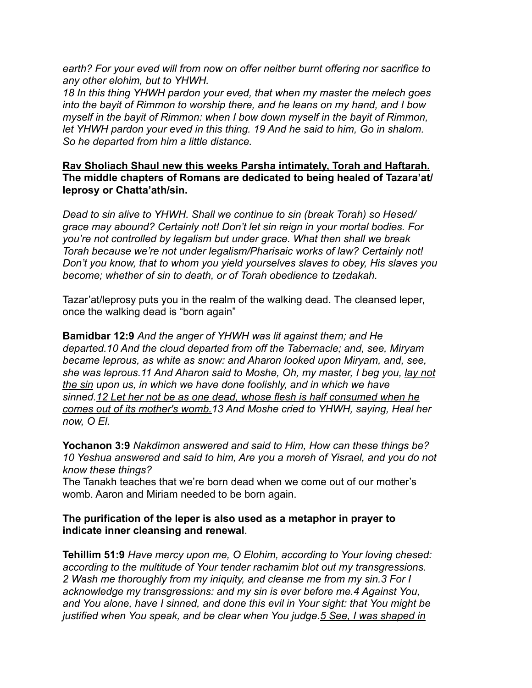*earth? For your eved will from now on offer neither burnt offering nor sacrifice to any other elohim, but to YHWH.*

*18 In this thing YHWH pardon your eved, that when my master the melech goes into the bayit of Rimmon to worship there, and he leans on my hand, and I bow myself in the bayit of Rimmon: when I bow down myself in the bayit of Rimmon, let YHWH pardon your eved in this thing. 19 And he said to him, Go in shalom. So he departed from him a little distance.*

### **Rav Sholiach Shaul new this weeks Parsha intimately, Torah and Haftarah. The middle chapters of Romans are dedicated to being healed of Tazara'at/ leprosy or Chatta'ath/sin.**

*Dead to sin alive to YHWH. Shall we continue to sin (break Torah) so Hesed/ grace may abound? Certainly not! Don't let sin reign in your mortal bodies. For you're not controlled by legalism but under grace. What then shall we break Torah because we're not under legalism/Pharisaic works of law? Certainly not! Don't you know, that to whom you yield yourselves slaves to obey, His slaves you become; whether of sin to death, or of Torah obedience to tzedakah.*

Tazar'at/leprosy puts you in the realm of the walking dead. The cleansed leper, once the walking dead is "born again"

**Bamidbar 12:9** *And the anger of YHWH was lit against them; and He departed.10 And the cloud departed from off the Tabernacle; and, see, Miryam became leprous, as white as snow: and Aharon looked upon Miryam, and, see, she was leprous.11 And Aharon said to Moshe, Oh, my master, I beg you, lay not the sin upon us, in which we have done foolishly, and in which we have sinned.12 Let her not be as one dead, whose flesh is half consumed when he comes out of its mother's womb.13 And Moshe cried to YHWH, saying, Heal her now, O El.*

**Yochanon 3:9** *Nakdimon answered and said to Him, How can these things be? 10 Yeshua answered and said to him, Are you a moreh of Yisrael, and you do not know these things?*

The Tanakh teaches that we're born dead when we come out of our mother's womb. Aaron and Miriam needed to be born again.

# **The purification of the leper is also used as a metaphor in prayer to indicate inner cleansing and renewal**.

**Tehillim 51:9** *Have mercy upon me, O Elohim, according to Your loving chesed: according to the multitude of Your tender rachamim blot out my transgressions. 2 Wash me thoroughly from my iniquity, and cleanse me from my sin.3 For I acknowledge my transgressions: and my sin is ever before me.4 Against You, and You alone, have I sinned, and done this evil in Your sight: that You might be justified when You speak, and be clear when You judge.5 See, I was shaped in*